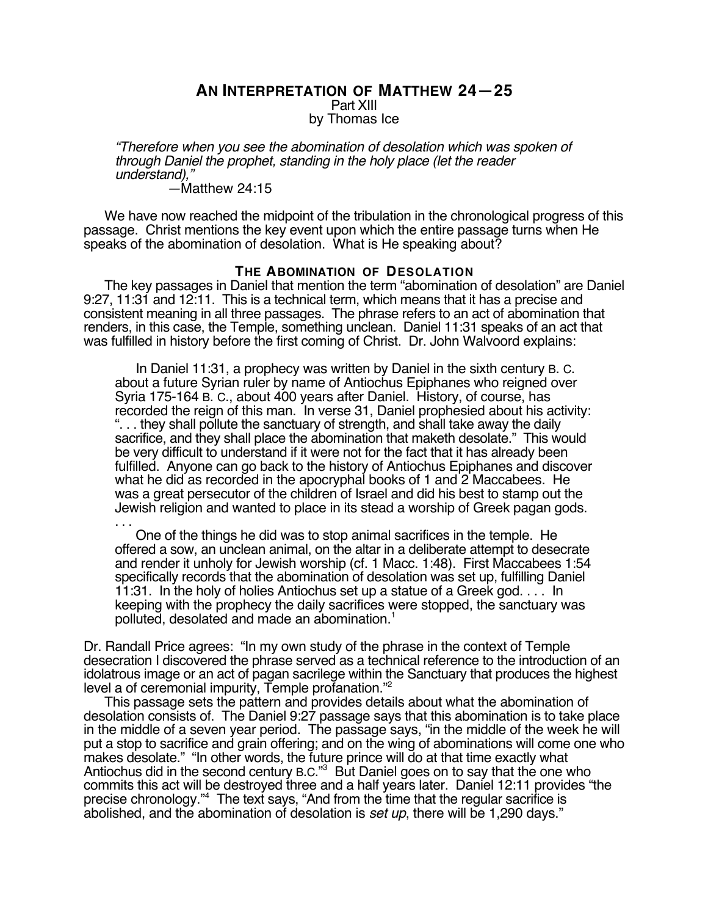### **AN INTERPRETATION OF MATTHEW 24—25** Part XIII by Thomas Ice

"Therefore when you see the abomination of desolation which was spoken of through Daniel the prophet, standing in the holy place (let the reader understand),"

—Matthew 24:15

We have now reached the midpoint of the tribulation in the chronological progress of this passage. Christ mentions the key event upon which the entire passage turns when He speaks of the abomination of desolation. What is He speaking about?

# **THE ABOMINATION OF DESOLATION**

The key passages in Daniel that mention the term "abomination of desolation" are Daniel 9:27, 11:31 and 12:11. This is a technical term, which means that it has a precise and consistent meaning in all three passages. The phrase refers to an act of abomination that renders, in this case, the Temple, something unclean. Daniel 11:31 speaks of an act that was fulfilled in history before the first coming of Christ. Dr. John Walvoord explains:

In Daniel 11:31, a prophecy was written by Daniel in the sixth century B. C. about a future Syrian ruler by name of Antiochus Epiphanes who reigned over Syria 175-164 B. C., about 400 years after Daniel. History, of course, has recorded the reign of this man. In verse 31, Daniel prophesied about his activity: ... they shall pollute the sanctuary of strength, and shall take away the daily sacrifice, and they shall place the abomination that maketh desolate." This would be very difficult to understand if it were not for the fact that it has already been fulfilled. Anyone can go back to the history of Antiochus Epiphanes and discover what he did as recorded in the apocryphal books of 1 and 2 Maccabees. He was a great persecutor of the children of Israel and did his best to stamp out the Jewish religion and wanted to place in its stead a worship of Greek pagan gods. . . .

One of the things he did was to stop animal sacrifices in the temple. He offered a sow, an unclean animal, on the altar in a deliberate attempt to desecrate and render it unholy for Jewish worship (cf. 1 Macc. 1:48). First Maccabees 1:54 specifically records that the abomination of desolation was set up, fulfilling Daniel 11:31. In the holy of holies Antiochus set up a statue of a Greek god. . . . In keeping with the prophecy the daily sacrifices were stopped, the sanctuary was polluted, desolated and made an abomination.<sup>1</sup>

Dr. Randall Price agrees: "In my own study of the phrase in the context of Temple desecration I discovered the phrase served as a technical reference to the introduction of an idolatrous image or an act of pagan sacrilege within the Sanctuary that produces the highest level a of ceremonial impurity, Temple profanation."2

This passage sets the pattern and provides details about what the abomination of desolation consists of. The Daniel 9:27 passage says that this abomination is to take place in the middle of a seven year period. The passage says, "in the middle of the week he will put a stop to sacrifice and grain offering; and on the wing of abominations will come one who makes desolate." "In other words, the future prince will do at that time exactly what Antiochus did in the second century B.C."<sup>3</sup> But Daniel goes on to say that the one who commits this act will be destroyed three and a half years later. Daniel 12:11 provides "the precise chronology."<sup>4</sup> The text says, "And from the time that the regular sacrifice is abolished, and the abomination of desolation is set up, there will be 1,290 days."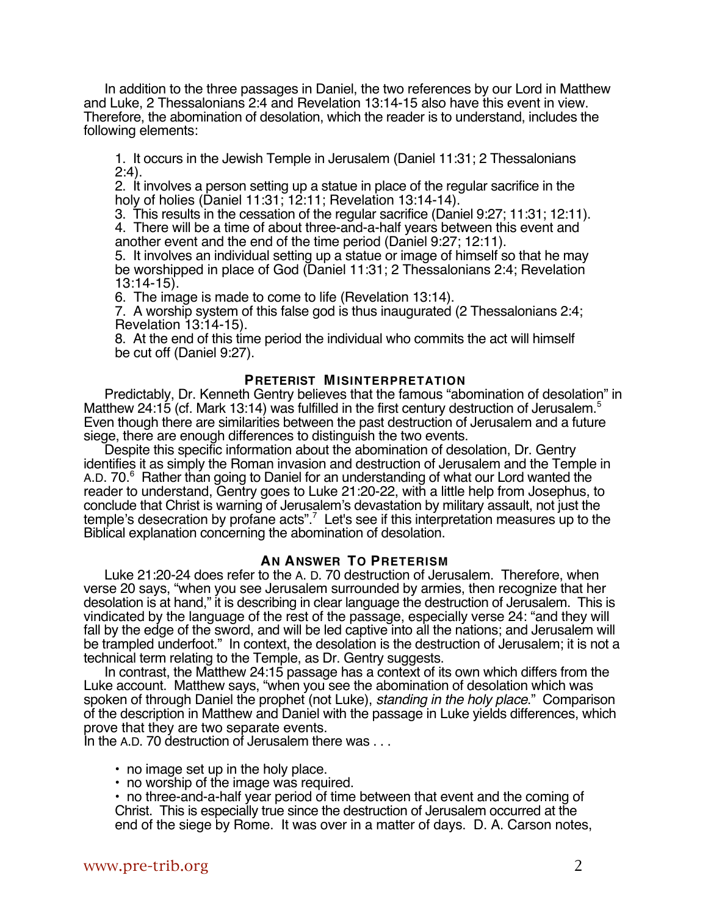In addition to the three passages in Daniel, the two references by our Lord in Matthew and Luke, 2 Thessalonians 2:4 and Revelation 13:14-15 also have this event in view. Therefore, the abomination of desolation, which the reader is to understand, includes the following elements:

1. It occurs in the Jewish Temple in Jerusalem (Daniel 11:31; 2 Thessalonians 2:4).

2. It involves a person setting up a statue in place of the regular sacrifice in the holy of holies (Daniel 11:31; 12:11; Revelation 13:14-14).

3. This results in the cessation of the regular sacrifice (Daniel 9:27; 11:31; 12:11).

4. There will be a time of about three-and-a-half years between this event and another event and the end of the time period (Daniel 9:27; 12:11).

5. It involves an individual setting up a statue or image of himself so that he may be worshipped in place of God (Daniel 11:31; 2 Thessalonians 2:4; Revelation 13:14-15).

6. The image is made to come to life (Revelation 13:14).

7. A worship system of this false god is thus inaugurated (2 Thessalonians 2:4; Revelation 13:14-15).

8. At the end of this time period the individual who commits the act will himself be cut off (Daniel 9:27).

#### **PRETERIST MISINTERPRETATION**

Predictably, Dr. Kenneth Gentry believes that the famous "abomination of desolation" in Matthew 24:15 (cf. Mark 13:14) was fulfilled in the first century destruction of Jerusalem.<sup>5</sup> Even though there are similarities between the past destruction of Jerusalem and a future siege, there are enough differences to distinguish the two events.

Despite this specific information about the abomination of desolation, Dr. Gentry identifies it as simply the Roman invasion and destruction of Jerusalem and the Temple in A.D. 70.<sup>6</sup> Rather than going to Daniel for an understanding of what our Lord wanted the reader to understand, Gentry goes to Luke 21:20-22, with a little help from Josephus, to conclude that Christ is warning of Jerusalem's devastation by military assault, not just the temple's desecration by profane acts".<sup>7</sup> Let's see if this interpretation measures up to the Biblical explanation concerning the abomination of desolation.

# **AN ANSWER TO PRETERISM**

Luke 21:20-24 does refer to the A. D. 70 destruction of Jerusalem. Therefore, when verse 20 says, "when you see Jerusalem surrounded by armies, then recognize that her desolation is at hand," it is describing in clear language the destruction of Jerusalem. This is vindicated by the language of the rest of the passage, especially verse 24: "and they will fall by the edge of the sword, and will be led captive into all the nations; and Jerusalem will be trampled underfoot." In context, the desolation is the destruction of Jerusalem; it is not a technical term relating to the Temple, as Dr. Gentry suggests.

In contrast, the Matthew 24:15 passage has a context of its own which differs from the Luke account. Matthew says, "when you see the abomination of desolation which was spoken of through Daniel the prophet (not Luke), standing in the holy place." Comparison of the description in Matthew and Daniel with the passage in Luke yields differences, which prove that they are two separate events.

In the A.D. 70 destruction of Jerusalem there was ...

- no image set up in the holy place.
- no worship of the image was required.

• no three-and-a-half year period of time between that event and the coming of Christ. This is especially true since the destruction of Jerusalem occurred at the end of the siege by Rome. It was over in a matter of days. D. A. Carson notes,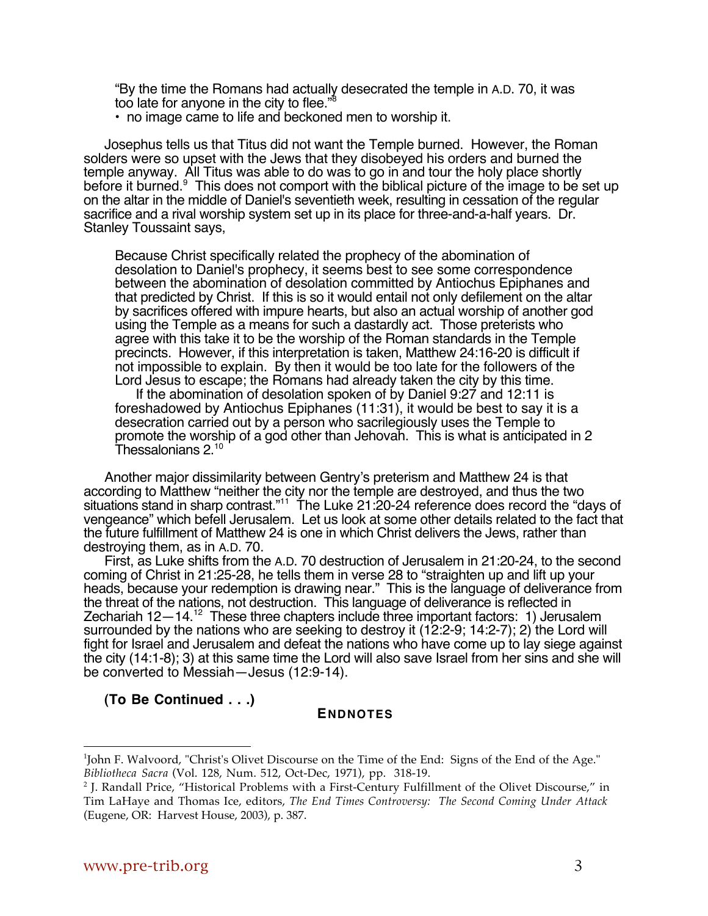"By the time the Romans had actually desecrated the temple in A.D. 70, it was too late for anyone in the city to flee."8

• no image came to life and beckoned men to worship it.

Josephus tells us that Titus did not want the Temple burned. However, the Roman solders were so upset with the Jews that they disobeyed his orders and burned the temple anyway. All Titus was able to do was to go in and tour the holy place shortly before it burned.<sup>9</sup> This does not comport with the biblical picture of the image to be set up on the altar in the middle of Daniel's seventieth week, resulting in cessation of the regular sacrifice and a rival worship system set up in its place for three-and-a-half years. Dr. Stanley Toussaint says,

Because Christ specifically related the prophecy of the abomination of desolation to Daniel's prophecy, it seems best to see some correspondence between the abomination of desolation committed by Antiochus Epiphanes and that predicted by Christ. If this is so it would entail not only defilement on the altar by sacrifices offered with impure hearts, but also an actual worship of another god using the Temple as a means for such a dastardly act. Those preterists who agree with this take it to be the worship of the Roman standards in the Temple precincts. However, if this interpretation is taken, Matthew 24:16-20 is difficult if not impossible to explain. By then it would be too late for the followers of the Lord Jesus to escape; the Romans had already taken the city by this time.

If the abomination of desolation spoken of by Daniel 9:27 and 12:11 is foreshadowed by Antiochus Epiphanes (11:31), it would be best to say it is a desecration carried out by a person who sacrilegiously uses the Temple to promote the worship of a god other than Jehovah. This is what is anticipated in 2 Thessalonians 2.<sup>10</sup>

Another major dissimilarity between Gentry's preterism and Matthew 24 is that according to Matthew "neither the city nor the temple are destroyed, and thus the two situations stand in sharp contrast."<sup>11</sup> The Luke 21:20-24 reference does record the "days of vengeance" which befell Jerusalem. Let us look at some other details related to the fact that the future fulfillment of Matthew 24 is one in which Christ delivers the Jews, rather than destroying them, as in A.D. 70.

First, as Luke shifts from the A.D. 70 destruction of Jerusalem in 21:20-24, to the second coming of Christ in 21:25-28, he tells them in verse 28 to "straighten up and lift up your heads, because your redemption is drawing near." This is the language of deliverance from the threat of the nations, not destruction. This language of deliverance is reflected in Zechariah 12-14.<sup>12</sup> These three chapters include three important factors: 1) Jerusalem surrounded by the nations who are seeking to destroy it (12:2-9; 14:2-7); 2) the Lord will fight for Israel and Jerusalem and defeat the nations who have come up to lay siege against the city (14:1-8); 3) at this same time the Lord will also save Israel from her sins and she will be converted to Messiah—Jesus (12:9-14).

**(To Be Continued . . .)**

# **ENDNOTES**

 $\overline{a}$ 

<sup>1</sup> John F. Walvoord, "Christ's Olivet Discourse on the Time of the End: Signs of the End of the Age." *Bibliotheca Sacra* (Vol. 128, Num. 512, Oct-Dec, 1971), pp. 318-19.

<sup>&</sup>lt;sup>2</sup> J. Randall Price, "Historical Problems with a First-Century Fulfillment of the Olivet Discourse," in Tim LaHaye and Thomas Ice, editors, *The End Times Controversy: The Second Coming Under Attack* (Eugene, OR: Harvest House, 2003), p. 387.